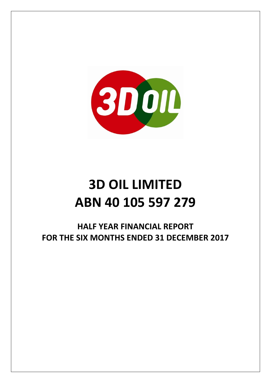

# **3D OIL LIMITED ABN 40 105 597 279**

**HALF YEAR FINANCIAL REPORT FOR THE SIX MONTHS ENDED 31 DECEMBER 2017**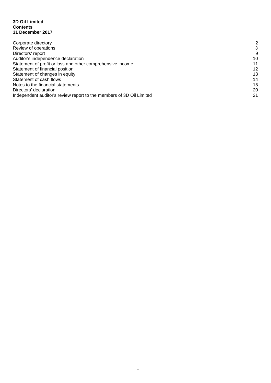#### **3D Oil Limited Contents 31 December 2017**

| Corporate directory                                                  | 2  |
|----------------------------------------------------------------------|----|
| Review of operations                                                 | 3  |
| Directors' report                                                    | 9  |
| Auditor's independence declaration                                   | 10 |
| Statement of profit or loss and other comprehensive income           | 11 |
| Statement of financial position                                      | 12 |
| Statement of changes in equity                                       | 13 |
| Statement of cash flows                                              | 14 |
| Notes to the financial statements                                    | 15 |
| Directors' declaration                                               | 20 |
| Independent auditor's review report to the members of 3D Oil Limited | 21 |
|                                                                      |    |

1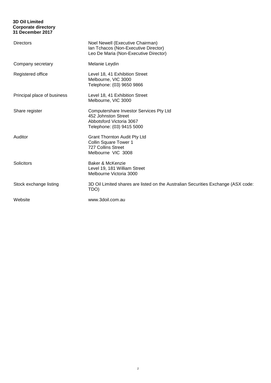#### **3D Oil Limited Corporate directory 31 December 2017**

| <b>Directors</b>            | Noel Newell (Executive Chairman)<br>Ian Tchacos (Non-Executive Director)<br>Leo De Maria (Non-Executive Director)       |
|-----------------------------|-------------------------------------------------------------------------------------------------------------------------|
| Company secretary           | Melanie Leydin                                                                                                          |
| Registered office           | Level 18, 41 Exhibition Street<br>Melbourne, VIC 3000<br>Telephone: (03) 9650 9866                                      |
| Principal place of business | Level 18, 41 Exhibition Street<br>Melbourne, VIC 3000                                                                   |
| Share register              | Computershare Investor Services Pty Ltd<br>452 Johnston Street<br>Abbotsford Victoria 3067<br>Telephone: (03) 9415 5000 |
| Auditor                     | <b>Grant Thornton Audit Pty Ltd</b><br>Collin Square Tower 1<br><b>727 Collins Street</b><br>Melbourne VIC 3008         |
| Solicitors                  | Baker & McKenzie<br>Level 19, 181 William Street<br>Melbourne Victoria 3000                                             |
| Stock exchange listing      | 3D Oil Limited shares are listed on the Australian Securities Exchange (ASX code:<br>TDO)                               |
| Website                     | www.3doil.com.au                                                                                                        |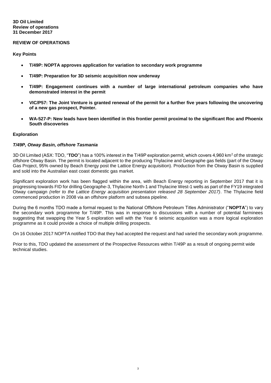#### **REVIEW OF OPERATIONS**

#### **Key Points**

- **T/49P: NOPTA approves application for variation to secondary work programme**
- **T/49P: Preparation for 3D seismic acquisition now underway**
- **T/49P: Engagement continues with a number of large international petroleum companies who have demonstrated interest in the permit**
- **VIC/P57: The Joint Venture is granted renewal of the permit for a further five years following the uncovering of a new gas prospect, Pointer.**
- **WA-527-P: New leads have been identified in this frontier permit proximal to the significant Roc and Phoenix South discoveries**

#### **Exploration**

#### *T/49P, Otway Basin, offshore Tasmania*

3D Oil Limited (ASX: TDO, "**TDO**") has a 100% interest in the T/49P exploration permit, which covers 4,960 km<sup>2</sup> of the strategic offshore Otway Basin. The permit is located adjacent to the producing Thylacine and Geographe gas fields (part of the Otway Gas Project, 95% owned by Beach Energy post the Lattice Energy acquisition). Production from the Otway Basin is supplied and sold into the Australian east coast domestic gas market.

Significant exploration work has been flagged within the area, with Beach Energy reporting in September 2017 that it is progressing towards FID for drilling Geographe-3, Thylacine North-1 and Thylacine West-1 wells as part of the FY19 integrated Otway campaign *(refer to the Lattice Energy acquisition presentation released 28 September 2017)*. The Thylacine field commenced production in 2008 via an offshore platform and subsea pipeline.

During the 6 months TDO made a formal request to the National Offshore Petroleum Titles Administrator ("**NOPTA**") to vary the secondary work programme for T/49P. This was in response to discussions with a number of potential farminees suggesting that swapping the Year 5 exploration well with the Year 6 seismic acquisition was a more logical exploration programme as it could provide a choice of multiple drilling prospects.

On 16 October 2017 NOPTA notified TDO that they had accepted the request and had varied the secondary work programme.

Prior to this, TDO updated the assessment of the Prospective Resources within T/49P as a result of ongoing permit wide technical studies.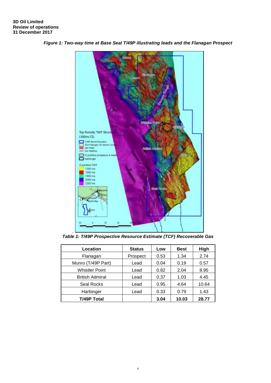

*Figure 1: Two-way time at Base Seal T/49P illustrating leads and the Flanagan Prospect*

*Table 1: T/49P Prospective Resource Estimate (TCF) Recoverable Gas*

| Location               | <b>Status</b> | Low  | Best  | High  |
|------------------------|---------------|------|-------|-------|
| Flanagan               | Prospect      | 0.53 | 1.34  | 2.74  |
| Munro (T/49P Part)     | Lead          | 0.04 | 0.19  | 0.57  |
| <b>Whistler Point</b>  | Lead          | 0.82 | 2.04  | 8.95  |
| <b>British Admiral</b> | Lead          | 0.37 | 1.03  | 4.45  |
| <b>Seal Rocks</b>      | Lead          | 0.95 | 4.64  | 10.64 |
| Harbinger              | Lead          | 0.33 | 0.79  | 1.43  |
| <b>T/49P Total</b>     |               | 3.04 | 10.03 | 28.77 |

4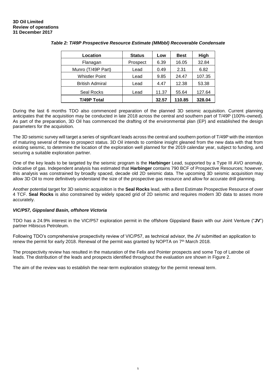| Location               | <b>Status</b> | Low   | <b>Best</b> | High   |
|------------------------|---------------|-------|-------------|--------|
| Flanagan               | Prospect      | 6.39  | 16.05       | 32.84  |
| Munro (T/49P Part)     | Lead          | 0.49  | 2.31        | 6.82   |
| <b>Whistler Point</b>  | Lead          | 9.85  | 24.47       | 107.35 |
| <b>British Admiral</b> | Lead          | 4.47  | 12.38       | 53.38  |
| <b>Seal Rocks</b>      | Lead          | 11.37 | 55.64       | 127.64 |
| <b>T/49P Total</b>     |               | 32.57 | 110.85      | 328.04 |

#### *Table 2: T/49P Prospective Resource Estimate (MMbbl) Recoverable Condensate*

During the last 6 months TDO also commenced preparation of the planned 3D seismic acquisition. Current planning anticipates that the acquisition may be conducted in late 2018 across the central and southern part of T/49P (100%-owned). As part of the preparation, 3D Oil has commenced the drafting of the environmental plan (EP) and established the design parameters for the acquisition.

The 3D seismic survey will target a series of significant leads across the central and southern portion of T/49P with the intention of maturing several of these to prospect status. 3D Oil intends to combine insight gleaned from the new data with that from existing seismic, to determine the location of the exploration well planned for the 2019 calendar year, subject to funding, and securing a suitable exploration partner.

One of the key leads to be targeted by the seismic program is the **Harbinger** Lead, supported by a Type III AVO anomaly, indicative of gas. Independent analysis has estimated that **Harbinger** contains 790 BCF of Prospective Resources; however, this analysis was constrained by broadly spaced, decade old 2D seismic data. The upcoming 3D seismic acquisition may allow 3D Oil to more definitively understand the size of the prospective gas resource and allow for accurate drill planning.

Another potential target for 3D seismic acquisition is the **Seal Rocks** lead, with a Best Estimate Prospective Resource of over 4 TCF. **Seal Rocks** is also constrained by widely spaced grid of 2D seismic and requires modern 3D data to asses more accurately.

#### *VIC/P57, Gippsland Basin, offshore Victoria*

TDO has a 24.9% interest in the VIC/P57 exploration permit in the offshore Gippsland Basin with our Joint Venture ("**JV**") partner Hibiscus Petroleum.

Following TDO's comprehensive prospectivity review of VIC/P57, as technical advisor, the JV submitted an application to renew the permit for early 2018. Renewal of the permit was granted by NOPTA on 7<sup>th</sup> March 2018.

The prospectivity review has resulted in the maturation of the Felix and Pointer prospects and some Top of Latrobe oil leads. The distribution of the leads and prospects identified throughout the evaluation are shown in Figure 2.

The aim of the review was to establish the near-term exploration strategy for the permit renewal term.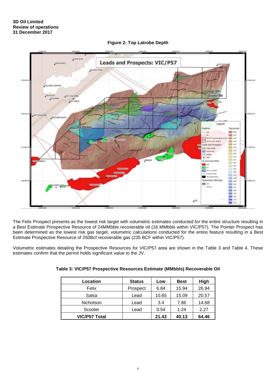

**Figure 2: Top Latrobe Depth**

The Felix Prospect presents as the lowest risk target with volumetric estimates conducted for the entire structure resulting in a Best Estimate Prospective Resource of 24MMbbls recoverable oil (16 MMbbls within VIC/P57). The Pointer Prospect has been determined as the lowest risk gas target, volumetric calculations conducted for the entire feature resulting in a Best Estimate Prospective Resource of 250Bcf recoverable gas (235 BCF within VIC/P57).

Volumetric estimates detailing the Prospective Resources for VIC/P57 area are shown in the Table 3 and Table 4. These estimates confirm that the permit holds significant value to the JV.

| Location             | <b>Status</b> | Low   | <b>Best</b> | <b>High</b> |
|----------------------|---------------|-------|-------------|-------------|
| Felix                | Prospect      | 6.84  | 15.94       | 26.94       |
| Salsa                | Lead          | 10.65 | 15.09       | 20.57       |
| <b>Nicholson</b>     | Lead          | 3.4   | 7.86        | 14.68       |
| Scooter              | Lead          | 0.54  | 1.24        | 2.27        |
| <b>VIC/P57 Total</b> |               | 21.43 | 40.13       | 64.46       |

| Table 3: VIC/P57 Prospective Resources Estimate (MMbbls) Recoverable Oil |  |
|--------------------------------------------------------------------------|--|
|                                                                          |  |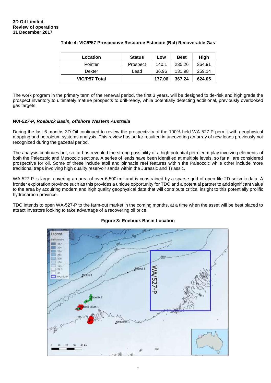| Location             | <b>Status</b> | Low    | <b>Best</b> | High   |
|----------------------|---------------|--------|-------------|--------|
| Pointer              | Prospect      | 140.1  | 235.26      | 364.91 |
| Dexter               | Lead          | 36.96  | 131.98      | 259.14 |
| <b>VIC/P57 Total</b> |               | 177.06 | 367.24      | 624.05 |

#### **Table 4: VIC/P57 Prospective Resource Estimate (Bcf) Recoverable Gas**

The work program in the primary term of the renewal period, the first 3 years, will be designed to de-risk and high grade the prospect inventory to ultimately mature prospects to drill-ready, while potentially detecting additional, previously overlooked gas targets.

#### *WA-527-P, Roebuck Basin, offshore Western Australia*

During the last 6 months 3D Oil continued to review the prospectivity of the 100% held WA-527-P permit with geophysical mapping and petroleum systems analysis. This review has so far resulted in uncovering an array of new leads previously not recognized during the gazettal period.

The analysis continues but, so far has revealed the strong possibility of a high potential petroleum play involving elements of both the Paleozoic and Mesozoic sections. A series of leads have been identified at multiple levels, so far all are considered prospective for oil. Some of these include atoll and pinnacle reef features within the Paleozoic while other include more traditional traps involving high quality reservoir sands within the Jurassic and Triassic.

WA-527-P is large, covering an area of over 6,500km<sup>2</sup> and is constrained by a sparse grid of open-file 2D seismic data. A frontier exploration province such as this provides a unique opportunity for TDO and a potential partner to add significant value to the area by acquiring modern and high quality geophysical data that will contribute critical insight to this potentially prolific hydrocarbon province.

TDO intends to open WA-527-P to the farm-out market in the coming months, at a time when the asset will be best placed to attract investors looking to take advantage of a recovering oil price.



#### **Figure 3: Roebuck Basin Location**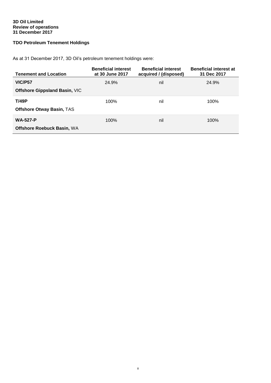#### **3D Oil Limited Review of operations 31 December 2017**

## **TDO Petroleum Tenement Holdings**

As at 31 December 2017, 3D Oil's petroleum tenement holdings were:

| <b>Tenement and Location</b>         | <b>Beneficial interest</b><br>at 30 June 2017 | <b>Beneficial interest</b><br>acquired / (disposed) | <b>Beneficial interest at</b><br>31 Dec 2017 |
|--------------------------------------|-----------------------------------------------|-----------------------------------------------------|----------------------------------------------|
| VIC/P57                              | 24.9%                                         | nil                                                 | 24.9%                                        |
| <b>Offshore Gippsland Basin, VIC</b> |                                               |                                                     |                                              |
| T/49P                                | 100%                                          | nil                                                 | 100%                                         |
| Offshore Otway Basin, TAS            |                                               |                                                     |                                              |
| <b>WA-527-P</b>                      | 100%                                          | nil                                                 | 100%                                         |
| <b>Offshore Roebuck Basin, WA</b>    |                                               |                                                     |                                              |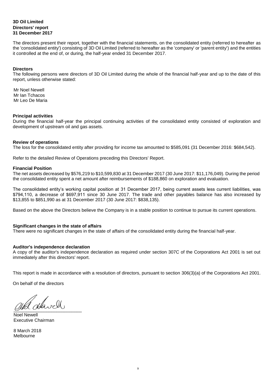#### **3D Oil Limited Directors' report 31 December 2017**

The directors present their report, together with the financial statements, on the consolidated entity (referred to hereafter as the 'consolidated entity') consisting of 3D Oil Limited (referred to hereafter as the 'company' or 'parent entity') and the entities it controlled at the end of, or during, the half-year ended 31 December 2017.

#### **Directors**

The following persons were directors of 3D Oil Limited during the whole of the financial half-year and up to the date of this report, unless otherwise stated:

Mr Noel Newell Mr Ian Tchacos Mr Leo De Maria

#### **Principal activities**

During the financial half-year the principal continuing activities of the consolidated entity consisted of exploration and development of upstream oil and gas assets.

#### **Review of operations**

The loss for the consolidated entity after providing for income tax amounted to \$585,091 (31 December 2016: \$684,542).

Refer to the detailed Review of Operations preceding this Directors' Report.

#### **Financial Position**

The net assets decreased by \$576,219 to \$10,599,830 at 31 December 2017 (30 June 2017: \$11,176,049). During the period the consolidated entity spent a net amount after reimbursements of \$188,860 on exploration and evaluation.

The consolidated entity's working capital position at 31 December 2017, being current assets less current liabilities, was \$794,110, a decrease of \$697,911 since 30 June 2017. The trade and other payables balance has also increased by \$13,855 to \$851,990 as at 31 December 2017 (30 June 2017: \$838,135).

Based on the above the Directors believe the Company is in a stable position to continue to pursue its current operations.

#### **Significant changes in the state of affairs**

There were no significant changes in the state of affairs of the consolidated entity during the financial half-year.

#### **Auditor's independence declaration**

A copy of the auditor's independence declaration as required under section 307C of the Corporations Act 2001 is set out immediately after this directors' report.

This report is made in accordance with a resolution of directors, pursuant to section 306(3)(a) of the Corporations Act 2001.

On behalf of the directors

 $Q$ 

Noel Newell Executive Chairman

8 March 2018 Melbourne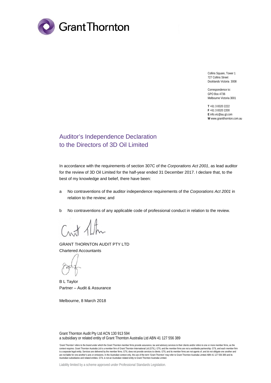

Collins Square, Tower 1 727 Collins Street Docklands Victoria 3008

Correspondence to: GPO Box 4736 Melbourne Victoria 3001

**T** +61 3 8320 2222 **F** +61 3 8320 2200 **E** info.vic@au.gt.com **W** www.grantthornton.com.au

# Auditor's Independence Declaration to the Directors of 3D Oil Limited

In accordance with the requirements of section 307C of the *Corporations Act 2001*, as lead auditor for the review of 3D Oil Limited for the half-year ended 31 December 2017. I declare that, to the best of my knowledge and belief, there have been:

- a No contraventions of the auditor independence requirements of the *Corporations Act 2001* in relation to the review; and
- b No contraventions of any applicable code of professional conduct in relation to the review.

Crust Alter

GRANT THORNTON AUDIT PTY LTD Chartered Accountants

B L Taylor Partner – Audit & Assurance

Melbourne, 8 March 2018

Grant Thornton Audit Pty Ltd ACN 130 913 594 a subsidiary or related entity of Grant Thornton Australia Ltd ABN 41 127 556 389

'Grant Thornton' refers to the brand under which the Grant Thornton member firms provide assurance, tax and advisory services to their clients and/or refers to one or more member firms, as the context requires. Grant Thornton Australia Ltd is a member firm of Grant Thornton International Ltd (GTIL). GTIL and the member firms are not a worldwide partnership. GTIL and each member firm is a separate legal entity. Services are delivered by the member firms. GTIL does not provide services to clients. GTIL and its member firms are not agents of, and do not obligate one another and<br>are not liable for one ano Australian subsidiaries and related entities. GTIL is not an Australian related entity to Grant Thornton Australia Limited.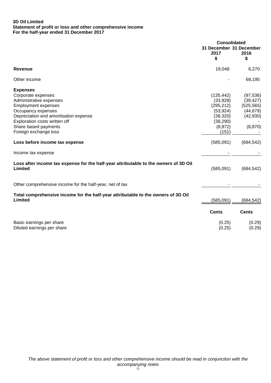#### **3D Oil Limited Statement of profit or loss and other comprehensive income For the half-year ended 31 December 2017**

|                                                                                                 | <b>Consolidated</b>                   |              |
|-------------------------------------------------------------------------------------------------|---------------------------------------|--------------|
|                                                                                                 | 31 December 31 December<br>2017<br>\$ | 2016<br>\$   |
| <b>Revenue</b>                                                                                  | 19,048                                | 6,270        |
| Other income                                                                                    |                                       | 68,195       |
| <b>Expenses</b>                                                                                 |                                       |              |
| Corporate expenses                                                                              | (135, 442)                            | (97, 536)    |
| Administrative expenses                                                                         | (33,928)                              | (39, 427)    |
| <b>Employment expenses</b>                                                                      | (295, 212)                            | (525, 565)   |
| Occupancy expenses                                                                              | (53, 924)                             | (44, 679)    |
| Depreciation and amortisation expense                                                           | (38, 320)                             | (42, 930)    |
| Exploration costs written off                                                                   | (38, 290)                             |              |
| Share based payments                                                                            | (8, 872)                              | (8,870)      |
| Foreign exchange loss                                                                           | (151)                                 |              |
| Loss before income tax expense                                                                  | (585,091)                             | (684, 542)   |
| Income tax expense                                                                              |                                       |              |
| Loss after income tax expense for the half-year attributable to the owners of 3D Oil<br>Limited | (585,091)                             | (684, 542)   |
| Other comprehensive income for the half-year, net of tax                                        |                                       |              |
| Total comprehensive income for the half-year attributable to the owners of 3D Oil<br>Limited    | (585,091)                             | (684, 542)   |
|                                                                                                 | <b>Cents</b>                          | <b>Cents</b> |
| Basic earnings per share                                                                        | (0.25)                                | (0.29)       |
| Diluted earnings per share                                                                      | (0.25)                                | (0.29)       |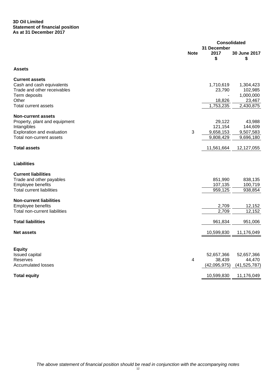#### **3D Oil Limited Statement of financial position As at 31 December 2017**

|                                  |                |              | <b>Consolidated</b> |
|----------------------------------|----------------|--------------|---------------------|
|                                  |                | 31 December  |                     |
|                                  | <b>Note</b>    | 2017         | 30 June 2017        |
|                                  |                | \$           | \$                  |
| <b>Assets</b>                    |                |              |                     |
| <b>Current assets</b>            |                |              |                     |
| Cash and cash equivalents        |                | 1,710,619    | 1,304,423           |
| Trade and other receivables      |                | 23,790       | 102,985             |
| Term deposits                    |                |              | 1,000,000           |
| Other                            |                | 18,826       | 23,467              |
| <b>Total current assets</b>      |                | 1,753,235    | 2,430,875           |
| <b>Non-current assets</b>        |                |              |                     |
| Property, plant and equipment    |                | 29,122       | 43,988              |
| Intangibles                      |                | 121,154      | 144,609             |
| Exploration and evaluation       | $\mathfrak{3}$ | 9,658,153    | 9,507,583           |
| Total non-current assets         |                | 9,808,429    | 9,696,180           |
|                                  |                |              |                     |
| <b>Total assets</b>              |                | 11,561,664   | 12,127,055          |
| <b>Liabilities</b>               |                |              |                     |
| <b>Current liabilities</b>       |                |              |                     |
| Trade and other payables         |                | 851,990      | 838,135             |
| Employee benefits                |                | 107,135      | 100,719             |
| <b>Total current liabilities</b> |                | 959,125      | 938,854             |
|                                  |                |              |                     |
| <b>Non-current liabilities</b>   |                |              |                     |
| Employee benefits                |                | 2,709        | 12,152              |
| Total non-current liabilities    |                | 2,709        | 12,152              |
| <b>Total liabilities</b>         |                | 961,834      | 951,006             |
|                                  |                |              |                     |
| <b>Net assets</b>                |                | 10,599,830   | 11,176,049          |
|                                  |                |              |                     |
| <b>Equity</b>                    |                |              |                     |
| <b>Issued capital</b>            |                | 52,657,366   | 52,657,366          |
| Reserves                         | $\overline{4}$ | 38,439       | 44,470              |
| <b>Accumulated losses</b>        |                | (42,095,975) | (41, 525, 787)      |
| <b>Total equity</b>              |                | 10,599,830   | 11,176,049          |
|                                  |                |              |                     |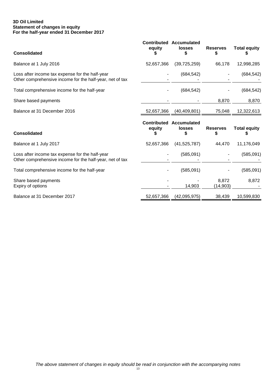#### **3D Oil Limited Statement of changes in equity For the half-year ended 31 December 2017**

| <b>Consolidated</b>                                                                                         | equity                       | <b>Contributed Accumulated</b><br><b>losses</b><br>\$ | <b>Reserves</b><br>5 | <b>Total equity</b> |
|-------------------------------------------------------------------------------------------------------------|------------------------------|-------------------------------------------------------|----------------------|---------------------|
| Balance at 1 July 2016                                                                                      | 52,657,366                   | (39, 725, 259)                                        | 66,178               | 12,998,285          |
| Loss after income tax expense for the half-year<br>Other comprehensive income for the half-year, net of tax |                              | (684, 542)                                            |                      | (684, 542)          |
| Total comprehensive income for the half-year                                                                |                              | (684, 542)                                            |                      | (684, 542)          |
| Share based payments                                                                                        |                              |                                                       | 8,870                | 8,870               |
| Balance at 31 December 2016                                                                                 | 52,657,366                   | (40, 409, 801)                                        | 75,048               | 12,322,613          |
| <b>Consolidated</b>                                                                                         | <b>Contributed</b><br>equity | Accumulated<br><b>losses</b><br>S                     | <b>Reserves</b><br>S | <b>Total equity</b> |
| Balance at 1 July 2017                                                                                      | 52,657,366                   | (41,525,787)                                          | 44,470               | 11,176,049          |
| Loss after income tax expense for the half-year<br>Other comprehensive income for the half-year, net of tax |                              | (585,091)                                             |                      | (585,091)           |
| Total comprehensive income for the half-year                                                                |                              | (585,091)                                             |                      | (585,091)           |
| Share based payments                                                                                        |                              |                                                       |                      |                     |
| Expiry of options                                                                                           |                              | 14,903                                                | 8,872<br>(14,903)    | 8,872               |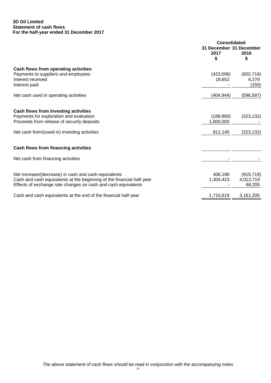#### **3D Oil Limited Statement of cash flows For the half-year ended 31 December 2017**

|                                                                                                                                                                                                | <b>Consolidated</b><br>31 December 31 December<br>2017<br>\$ | 2016<br>S                         |
|------------------------------------------------------------------------------------------------------------------------------------------------------------------------------------------------|--------------------------------------------------------------|-----------------------------------|
| Cash flows from operating activities<br>Payments to suppliers and employees<br>Interest received<br>Interest paid                                                                              | (423, 596)<br>18,652                                         | (602, 716)<br>6,279<br>(150)      |
| Net cash used in operating activities                                                                                                                                                          | (404, 944)                                                   | (596, 587)                        |
| Cash flows from investing activities<br>Payments for exploration and evaluation<br>Proceeds from release of security deposits                                                                  | (188, 860)<br>1,000,000                                      | (323, 132)                        |
| Net cash from/(used in) investing activities                                                                                                                                                   | 811,140                                                      | (323, 132)                        |
| Cash flows from financing activities                                                                                                                                                           |                                                              |                                   |
| Net cash from financing activities                                                                                                                                                             |                                                              |                                   |
| Net increase/(decrease) in cash and cash equivalents<br>Cash and cash equivalents at the beginning of the financial half-year<br>Effects of exchange rate changes on cash and cash equivalents | 406,196<br>1,304,423                                         | (919, 719)<br>4,012,719<br>68,205 |
| Cash and cash equivalents at the end of the financial half-year                                                                                                                                | 1,710,619                                                    | 3,161,205                         |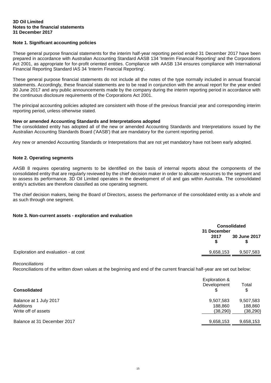#### **Note 1. Significant accounting policies**

These general purpose financial statements for the interim half-year reporting period ended 31 December 2017 have been prepared in accordance with Australian Accounting Standard AASB 134 'Interim Financial Reporting' and the Corporations Act 2001, as appropriate for for-profit oriented entities. Compliance with AASB 134 ensures compliance with International Financial Reporting Standard IAS 34 'Interim Financial Reporting'.

These general purpose financial statements do not include all the notes of the type normally included in annual financial statements. Accordingly, these financial statements are to be read in conjunction with the annual report for the year ended 30 June 2017 and any public announcements made by the company during the interim reporting period in accordance with the continuous disclosure requirements of the Corporations Act 2001.

The principal accounting policies adopted are consistent with those of the previous financial year and corresponding interim reporting period, unless otherwise stated.

#### **New or amended Accounting Standards and Interpretations adopted**

The consolidated entity has adopted all of the new or amended Accounting Standards and Interpretations issued by the Australian Accounting Standards Board ('AASB') that are mandatory for the current reporting period.

Any new or amended Accounting Standards or Interpretations that are not yet mandatory have not been early adopted.

#### **Note 2. Operating segments**

AASB 8 requires operating segments to be identified on the basis of internal reports about the components of the consolidated entity that are regularly reviewed by the chief decision maker in order to allocate resources to the segment and to assess its performance. 3D Oil Limited operates in the development of oil and gas within Australia. The consolidated entity's activities are therefore classified as one operating segment.

The chief decision makers, being the Board of Directors, assess the performance of the consolidated entity as a whole and as such through one segment.

#### **Note 3. Non-current assets - exploration and evaluation**

|                                      |           | <b>Consolidated</b><br>31 December |  |  |
|--------------------------------------|-----------|------------------------------------|--|--|
|                                      | 2017      | 30 June 2017                       |  |  |
| Exploration and evaluation - at cost | 9,658,153 | 9,507,583                          |  |  |

*Reconciliations*

Reconciliations of the written down values at the beginning and end of the current financial half-year are set out below:

| <b>Consolidated</b>         | Exploration &<br>Development | Total<br>\$ |
|-----------------------------|------------------------------|-------------|
| Balance at 1 July 2017      | 9,507,583                    | 9,507,583   |
| Additions                   | 188.860                      | 188,860     |
| Write off of assets         | (38, 290)                    | (38, 290)   |
| Balance at 31 December 2017 | 9,658,153                    | 9,658,153   |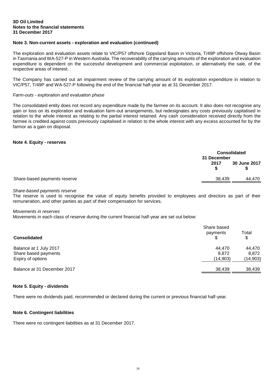#### **Note 3. Non-current assets - exploration and evaluation (continued)**

The exploration and evaluation assets relate to VIC/P57 offshore Gippsland Basin in Victoria, T/49P offshore Otway Basin in Tasmania and WA-527-P in Western Australia. The recoverability of the carrying amounts of the exploration and evaluation expenditure is dependent on the successful development and commercial exploitation, or alternatively the sale, of the respective areas of interest.

The Company has carried out an impairment review of the carrying amount of its exploration expenditure in relation to VIC/P57, T/49P and WA-527-P following the end of the financial half-year as at 31 December 2017.

#### *Farm-outs - exploration and evaluation phase*

The consolidated entity does not record any expenditure made by the farmee on its account. It also does not recognise any gain or loss on its exploration and evaluation farm-out arrangements, but redesignates any costs previously capitalised in relation to the whole interest as relating to the partial interest retained. Any cash consideration received directly from the farmee is credited against costs previously capitalised in relation to the whole interest with any excess accounted for by the farmor as a gain on disposal.

#### **Note 4. Equity - reserves**

|                              | <b>Consolidated</b><br>31 December |              |
|------------------------------|------------------------------------|--------------|
|                              | 2017                               | 30 June 2017 |
| Share-based payments reserve | 38,439                             | 44,470       |

#### *Share-based payments reserve*

The reserve is used to recognise the value of equity benefits provided to employees and directors as part of their remuneration, and other parties as part of their compensation for services.

#### *Movements in reserves*

Movements in each class of reserve during the current financial half-year are set out below:

| <b>Consolidated</b>         | Share based<br>payments | Total<br>\$ |
|-----------------------------|-------------------------|-------------|
| Balance at 1 July 2017      | 44.470                  | 44,470      |
| Share based payments        | 8.872                   | 8,872       |
| Expiry of options           | (14,903)                | (14,903)    |
| Balance at 31 December 2017 | 38,439                  | 38,439      |

#### **Note 5. Equity - dividends**

There were no dividends paid, recommended or declared during the current or previous financial half-year.

#### **Note 6. Contingent liabilities**

There were no contingent liabilities as at 31 December 2017.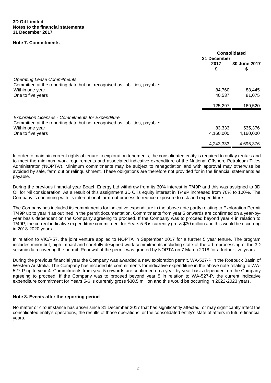#### **Note 7. Commitments**

|                                                                                                                                          | <b>Consolidated</b><br>31 December |                    |
|------------------------------------------------------------------------------------------------------------------------------------------|------------------------------------|--------------------|
|                                                                                                                                          | 2017<br>\$                         | 30 June 2017<br>\$ |
| <b>Operating Lease Commitments</b><br>Committed at the reporting date but not recognised as liabilities, payable:                        |                                    |                    |
| Within one year                                                                                                                          | 84.760                             | 88,445             |
| One to five years                                                                                                                        | 40.537                             | 81,075             |
|                                                                                                                                          | 125,297                            | 169,520            |
| <b>Exploration Licenses - Commitments for Expenditure</b><br>Committed at the reporting date but not recognised as liabilities, payable: |                                    |                    |
| Within one year                                                                                                                          | 83,333                             | 535,376            |
| One to five years                                                                                                                        | 4,160,000                          | 4,160,000          |
|                                                                                                                                          | 4,243,333                          | 4,695,376          |

In order to maintain current rights of tenure to exploration tenements, the consolidated entity is required to outlay rentals and to meet the minimum work requirements and associated indicative expenditure of the National Offshore Petroleum Titles Administrator ('NOPTA'). Minimum commitments may be subject to renegotiation and with approval may otherwise be avoided by sale, farm out or relinquishment. These obligations are therefore not provided for in the financial statements as payable.

During the previous financial year Beach Energy Ltd withdrew from its 30% interest in T/49P and this was assigned to 3D Oil for Nil consideration. As a result of this assignment 3D Oil's equity interest in T/49P increased from 70% to 100%. The Company is continuing with its international farm-out process to reduce exposure to risk and expenditure.

The Company has included its commitments for indicative expenditure in the above note partly relating to Exploration Permit T/49P up to year 4 as outlined in the permit documentation. Commitments from year 5 onwards are confirmed on a year-byyear basis dependent on the Company agreeing to proceed. If the Company was to proceed beyond year 4 in relation to T/49P, the current indicative expenditure commitment for Years 5-6 is currently gross \$30 million and this would be occurring in 2018-2020 years.

In relation to VIC/P57, the joint venture applied to NOPTA in September 2017 for a further 5 year tenure. The program includes minor but, high impact and carefully designed work commitments including state-of-the-art reprocessing of the 3D seismic data covering the permit. Renewal of the permit was granted by NOPTA on 7 March 2018 for a further five years.

During the previous financial year the Company was awarded a new exploration permit, WA-527-P in the Roebuck Basin of Western Australia. The Company has included its commitments for indicative expenditure in the above note relating to WA-527-P up to year 4. Commitments from year 5 onwards are confirmed on a year-by-year basis dependent on the Company agreeing to proceed. If the Company was to proceed beyond year 5 in relation to WA-527-P, the current indicative expenditure commitment for Years 5-6 is currently gross \$30.5 million and this would be occurring in 2022-2023 years.

#### **Note 8. Events after the reporting period**

No matter or circumstance has arisen since 31 December 2017 that has significantly affected, or may significantly affect the consolidated entity's operations, the results of those operations, or the consolidated entity's state of affairs in future financial years.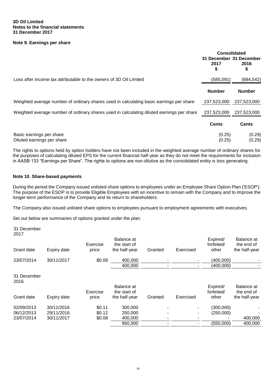#### **Note 9. Earnings per share**

|                                                                                           | <b>Consolidated</b><br>31 December 31 December<br>2017<br>2016<br>\$<br>\$ |                  |  |
|-------------------------------------------------------------------------------------------|----------------------------------------------------------------------------|------------------|--|
| Loss after income tax attributable to the owners of 3D Oil Limited                        | (585, 091)                                                                 | (684, 542)       |  |
|                                                                                           | <b>Number</b>                                                              | <b>Number</b>    |  |
| Weighted average number of ordinary shares used in calculating basic earnings per share   | 237,523,000                                                                | 237,523,000      |  |
| Weighted average number of ordinary shares used in calculating diluted earnings per share | 237,523,000                                                                | 237,523,000      |  |
|                                                                                           | <b>Cents</b>                                                               | <b>Cents</b>     |  |
| Basic earnings per share<br>Diluted earnings per share                                    | (0.25)<br>(0.25)                                                           | (0.29)<br>(0.29) |  |

The rights to options held by option holders have not been included in the weighted average number of ordinary shares for the purposes of calculating diluted EPS for the current financial half-year as they do not meet the requirements for inclusion in AASB 133 "Earnings per Share". The rights to options are non-dilutive as the consolidated entity is loss generating.

#### **Note 10. Share-based payments**

During the period the Company issued unlisted share options to employees under an Employee Share Option Plan ('ESOP'). The purpose of the ESOP is to provide Eligible Employees with an incentive to remain with the Company and to improve the longer-term performance of the Company and its return to shareholders.

The Company also issued unlisted share options to employees pursuant to employment agreements with executives.

Set out below are summaries of options granted under the plan:

31 December 2017

|                     |             | Exercise | Balance at<br>the start of |         |           | Expired/<br>forfeited/ | Balance at<br>the end of |
|---------------------|-------------|----------|----------------------------|---------|-----------|------------------------|--------------------------|
| Grant date          | Expiry date | price    | the half-year              | Granted | Exercised | other                  | the half-year            |
| 23/07/2014          | 30/11/2017  | \$0.08   | 400,000                    |         |           | (400,000)              |                          |
|                     |             |          | 400,000                    |         |           | (400,000)              |                          |
| 31 December<br>2016 |             |          |                            |         |           |                        |                          |
|                     |             | Exercise | Balance at<br>the start of |         |           | Expired/<br>forfeited/ | Balance at<br>the end of |
| Grant date          | Expiry date | price    | the half-year              | Granted | Exercised | other                  | the half-year            |
| 02/09/2013          | 30/11/2016  | \$0.11   | 300,000                    |         |           | (300,000)              |                          |
| 06/12/2013          | 29/11/2016  | \$0.12   | 250,000                    |         |           | (250,000)              |                          |
| 23/07/2014          | 30/11/2017  | \$0.08   | 400,000                    |         |           |                        | 400,000                  |
|                     |             |          | 950,000                    |         |           | (550,000)              | 400,000                  |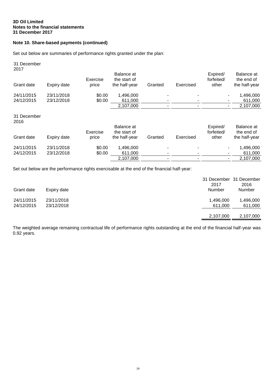### **Note 10. Share-based payments (continued)**

Set out below are summaries of performance rights granted under the plan:

| Expiry date | Exercise<br>price | Balance at<br>the start of<br>the half-year | Granted                  | Exercised | Expired/<br>forfeited/<br>other | Balance at<br>the end of<br>the half-year |
|-------------|-------------------|---------------------------------------------|--------------------------|-----------|---------------------------------|-------------------------------------------|
| 23/11/2018  | \$0.00            | 1,496,000                                   | ۰                        |           |                                 | 1,496,000                                 |
|             |                   |                                             | ۰                        |           |                                 | 611,000                                   |
|             |                   | 2,107,000                                   | $\overline{\phantom{0}}$ |           | ۰.                              | 2,107,000                                 |
|             |                   |                                             |                          |           |                                 |                                           |
|             | Exercise          | Balance at<br>the start of                  |                          |           | Expired/                        | Balance at<br>the end of                  |
| Expiry date | price             | the half-year                               | Granted                  | Exercised | other                           | the half-year                             |
| 23/11/2018  | \$0.00            | 1,496,000                                   |                          |           |                                 | 1,496,000                                 |
| 23/12/2018  | \$0.00            | 611,000                                     | ۰                        |           |                                 | 611,000                                   |
|             |                   | 2,107,000                                   |                          |           |                                 | 2,107,000                                 |
|             | 23/12/2018        | \$0.00                                      | 611,000                  |           |                                 | forfeited/                                |

Set out below are the performance rights exercisable at the end of the financial half-year:

| Grant date               | Expiry date              | 2017<br>Number       | 31 December 31 December<br>2016<br>Number |
|--------------------------|--------------------------|----------------------|-------------------------------------------|
| 24/11/2015<br>24/12/2015 | 23/11/2018<br>23/12/2018 | 1,496,000<br>611.000 | 1,496,000<br>611,000                      |
|                          |                          | 2,107,000            | 2,107,000                                 |

The weighted average remaining contractual life of performance rights outstanding at the end of the financial half-year was 0.92 years.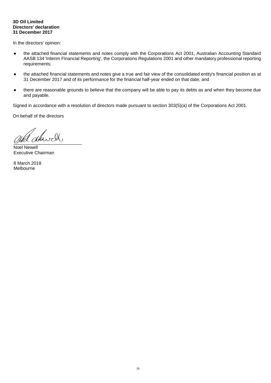#### **3D Oil Limited Directors' declaration 31 December 2017**

In the directors' opinion:

- the attached financial statements and notes comply with the Corporations Act 2001, Australian Accounting Standard AASB 134 'Interim Financial Reporting', the Corporations Regulations 2001 and other mandatory professional reporting requirements;
- the attached financial statements and notes give a true and fair view of the consolidated entity's financial position as at 31 December 2017 and of its performance for the financial half-year ended on that date; and
- there are reasonable grounds to believe that the company will be able to pay its debts as and when they become due and payable.

Signed in accordance with a resolution of directors made pursuant to section 303(5)(a) of the Corporations Act 2001.

On behalf of the directors

 $Q$ 

Noel Newell Executive Chairman

8 March 2018 Melbourne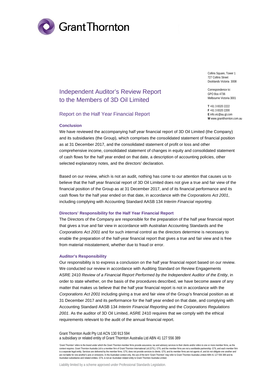

Collins Square, Tower 1 727 Collins Street Docklands Victoria 3008

Correspondence to: GPO Box 4736 Melbourne Victoria 3001

**T** +61 3 8320 2222 **F** +61 3 8320 2200 **E** info.vic@au.gt.com **W** www.grantthornton.com.au

## Independent Auditor's Review Report to the Members of 3D Oil Limited

#### Report on the Half Year Financial Report

#### **Conclusion**

We have reviewed the accompanying half year financial report of 3D Oil Limited (the Company) and its subsidiaries (the Group), which comprises the consolidated statement of financial position as at 31 December 2017, and the consolidated statement of profit or loss and other comprehensive income, consolidated statement of changes in equity and consolidated statement of cash flows for the half year ended on that date, a description of accounting policies, other selected explanatory notes, and the directors' declaration.

Based on our review, which is not an audit, nothing has come to our attention that causes us to believe that the half year financial report of 3D Oil Limited does not give a true and fair view of the financial position of the Group as at 31 December 2017, and of its financial performance and its cash flows for the half year ended on that date, in accordance with the *Corporations Act 2001*, including complying with Accounting Standard AASB 134 *Interim Financial reporting*.

#### **Directors' Responsibility for the Half Year Financial Report**

The Directors of the Company are responsible for the preparation of the half year financial report that gives a true and fair view in accordance with Australian Accounting Standards and the *Corporations Act 2001* and for such internal control as the directors determine is necessary to enable the preparation of the half-year financial report that gives a true and fair view and is free from material misstatement, whether due to fraud or error.

#### **Auditor's Responsibility**

Our responsibility is to express a conclusion on the half year financial report based on our review. We conducted our review in accordance with Auditing Standard on Review Engagements ASRE 2410 *Review of a Financial Report Performed by the Independent Auditor of the Entity*, in order to state whether, on the basis of the procedures described, we have become aware of any matter that makes us believe that the half year financial report is not in accordance with the *Corporations Act 2001* including giving a true and fair view of the Group's financial position as at 31 December 2017 and its performance for the half year ended on that date, and complying with Accounting Standard AASB 134 *Interim Financial Reporting* and the *Corporations Regulations 2001*. As the auditor of 3D Oil Limited, ASRE 2410 requires that we comply with the ethical requirements relevant to the audit of the annual financial report.

Grant Thornton Audit Pty Ltd ACN 130 913 594 a subsidiary or related entity of Grant Thornton Australia Ltd ABN 41 127 556 389

'Grant Thornton' refers to the brand under which the Grant Thornton member firms provide assurance, tax and advisory services to their clients and/or refers to one or more member firms, as the context requires. Grant Thornton Australia Ltd is a member firm of Grant Thornton International Ltd (GTIL). GTIL and the member firms are not a worldwide partnership. GTIL and each member firm is a separate legal entity. Services are delivered by the member firms. GTIL does not provide services to clients. GTIL and its member firms are not agents of, and do not obligate one another and are not liable for one another's acts or omissions. In the Australian context only, the use of the term 'Grant Thornton' may refer to Grant Thornton Australia Limited ABN 41 127 556 389 and its Australian subsidiaries and related entities. GTIL is not an Australian related entity to Grant Thornton Australia Limited.